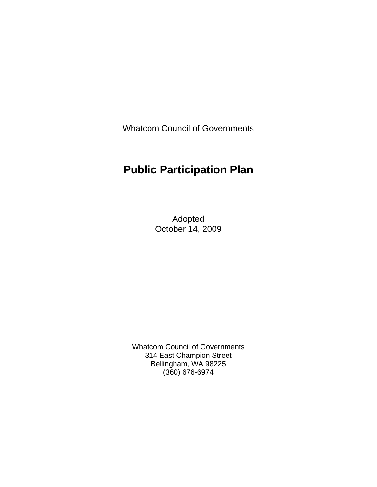Whatcom Council of Governments

# **Public Participation Plan**

Adopted October 14, 2009

Whatcom Council of Governments 314 East Champion Street Bellingham, WA 98225 (360) 676-6974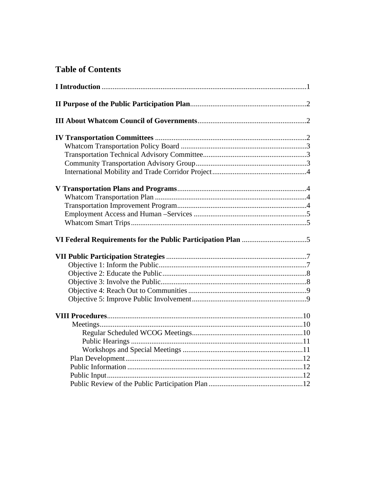# **Table of Contents**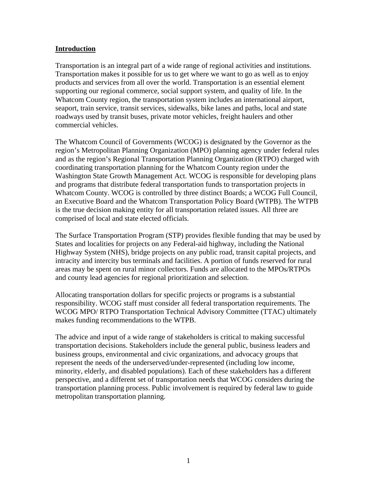#### **Introduction**

Transportation is an integral part of a wide range of regional activities and institutions. Transportation makes it possible for us to get where we want to go as well as to enjoy products and services from all over the world. Transportation is an essential element supporting our regional commerce, social support system, and quality of life. In the Whatcom County region, the transportation system includes an international airport, seaport, train service, transit services, sidewalks, bike lanes and paths, local and state roadways used by transit buses, private motor vehicles, freight haulers and other commercial vehicles.

The Whatcom Council of Governments (WCOG) is designated by the Governor as the region's Metropolitan Planning Organization (MPO) planning agency under federal rules and as the region's Regional Transportation Planning Organization (RTPO) charged with coordinating transportation planning for the Whatcom County region under the Washington State Growth Management Act. WCOG is responsible for developing plans and programs that distribute federal transportation funds to transportation projects in Whatcom County. WCOG is controlled by three distinct Boards; a WCOG Full Council, an Executive Board and the Whatcom Transportation Policy Board (WTPB). The WTPB is the true decision making entity for all transportation related issues. All three are comprised of local and state elected officials.

The Surface Transportation Program (STP) provides flexible funding that may be used by States and localities for projects on any Federal-aid highway, including the National Highway System (NHS), bridge projects on any public road, transit capital projects, and intracity and intercity bus terminals and facilities. A portion of funds reserved for rural areas may be spent on rural minor collectors. Funds are allocated to the MPOs/RTPOs and county lead agencies for regional prioritization and selection.

Allocating transportation dollars for specific projects or programs is a substantial responsibility. WCOG staff must consider all federal transportation requirements. The WCOG MPO/ RTPO Transportation Technical Advisory Committee (TTAC) ultimately makes funding recommendations to the WTPB.

The advice and input of a wide range of stakeholders is critical to making successful transportation decisions. Stakeholders include the general public, business leaders and business groups, environmental and civic organizations, and advocacy groups that represent the needs of the underserved/under-represented (including low income, minority, elderly, and disabled populations). Each of these stakeholders has a different perspective, and a different set of transportation needs that WCOG considers during the transportation planning process. Public involvement is required by federal law to guide metropolitan transportation planning.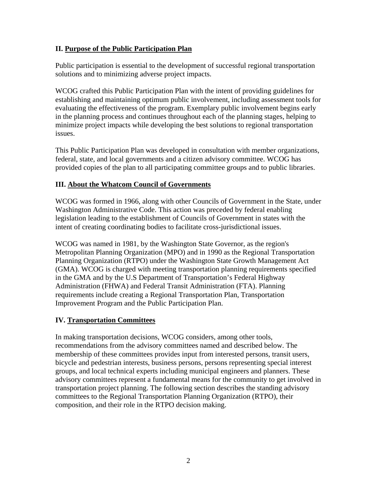# **II. Purpose of the Public Participation Plan**

Public participation is essential to the development of successful regional transportation solutions and to minimizing adverse project impacts.

WCOG crafted this Public Participation Plan with the intent of providing guidelines for establishing and maintaining optimum public involvement, including assessment tools for evaluating the effectiveness of the program. Exemplary public involvement begins early in the planning process and continues throughout each of the planning stages, helping to minimize project impacts while developing the best solutions to regional transportation issues.

This Public Participation Plan was developed in consultation with member organizations, federal, state, and local governments and a citizen advisory committee. WCOG has provided copies of the plan to all participating committee groups and to public libraries.

# **III. About the Whatcom Council of Governments**

WCOG was formed in 1966, along with other Councils of Government in the State, under Washington Administrative Code. This action was preceded by federal enabling legislation leading to the establishment of Councils of Government in states with the intent of creating coordinating bodies to facilitate cross-jurisdictional issues.

WCOG was named in 1981, by the Washington State Governor, as the region's Metropolitan Planning Organization (MPO) and in 1990 as the Regional Transportation Planning Organization (RTPO) under the Washington State Growth Management Act (GMA). WCOG is charged with meeting transportation planning requirements specified in the GMA and by the U.S Department of Transportation's Federal Highway Administration (FHWA) and Federal Transit Administration (FTA). Planning requirements include creating a Regional Transportation Plan, Transportation Improvement Program and the Public Participation Plan.

#### **IV. Transportation Committees**

In making transportation decisions, WCOG considers, among other tools, recommendations from the advisory committees named and described below. The membership of these committees provides input from interested persons, transit users, bicycle and pedestrian interests, business persons, persons representing special interest groups, and local technical experts including municipal engineers and planners. These advisory committees represent a fundamental means for the community to get involved in transportation project planning. The following section describes the standing advisory committees to the Regional Transportation Planning Organization (RTPO), their composition, and their role in the RTPO decision making.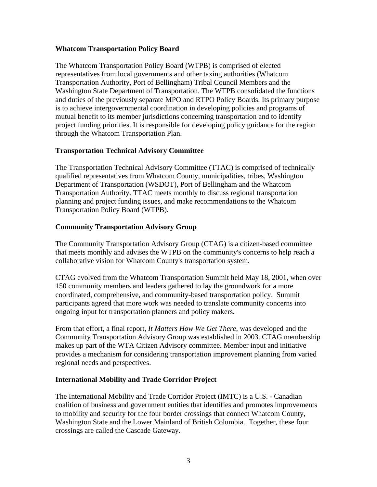#### **Whatcom Transportation Policy Board**

The Whatcom Transportation Policy Board (WTPB) is comprised of elected representatives from local governments and other taxing authorities (Whatcom Transportation Authority, Port of Bellingham) Tribal Council Members and the Washington State Department of Transportation. The WTPB consolidated the functions and duties of the previously separate MPO and RTPO Policy Boards. Its primary purpose is to achieve intergovernmental coordination in developing policies and programs of mutual benefit to its member jurisdictions concerning transportation and to identify project funding priorities. It is responsible for developing policy guidance for the region through the Whatcom Transportation Plan.

#### **Transportation Technical Advisory Committee**

The Transportation Technical Advisory Committee (TTAC) is comprised of technically qualified representatives from Whatcom County, municipalities, tribes, Washington Department of Transportation (WSDOT), Port of Bellingham and the Whatcom Transportation Authority. TTAC meets monthly to discuss regional transportation planning and project funding issues, and make recommendations to the Whatcom Transportation Policy Board (WTPB).

#### **Community Transportation Advisory Group**

The Community Transportation Advisory Group (CTAG) is a citizen-based committee that meets monthly and advises the WTPB on the community's concerns to help reach a collaborative vision for Whatcom County's transportation system.

CTAG evolved from the Whatcom Transportation Summit held May 18, 2001, when over 150 community members and leaders gathered to lay the groundwork for a more coordinated, comprehensive, and community-based transportation policy. Summit participants agreed that more work was needed to translate community concerns into ongoing input for transportation planners and policy makers.

From that effort, a final report, *It Matters How We Get There*, was developed and the Community Transportation Advisory Group was established in 2003. CTAG membership makes up part of the WTA Citizen Advisory committee. Member input and initiative provides a mechanism for considering transportation improvement planning from varied regional needs and perspectives.

#### **International Mobility and Trade Corridor Project**

The International Mobility and Trade Corridor Project (IMTC) is a U.S. - Canadian coalition of business and government entities that identifies and promotes improvements to mobility and security for the four border crossings that connect Whatcom County, Washington State and the Lower Mainland of British Columbia. Together, these four crossings are called the Cascade Gateway.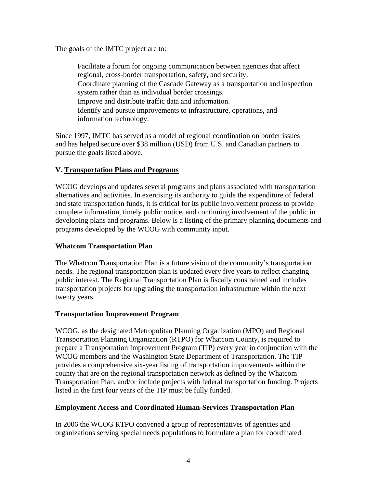The goals of the IMTC project are to:

Facilitate a forum for ongoing communication between agencies that affect regional, cross-border transportation, safety, and security. Coordinate planning of the Cascade Gateway as a transportation and inspection system rather than as individual border crossings. Improve and distribute traffic data and information. Identify and pursue improvements to infrastructure, operations, and information technology.

Since 1997, IMTC has served as a model of regional coordination on border issues and has helped secure over \$38 million (USD) from U.S. and Canadian partners to pursue the goals listed above.

# **V. Transportation Plans and Programs**

WCOG develops and updates several programs and plans associated with transportation alternatives and activities. In exercising its authority to guide the expenditure of federal and state transportation funds, it is critical for its public involvement process to provide complete information, timely public notice, and continuing involvement of the public in developing plans and programs. Below is a listing of the primary planning documents and programs developed by the WCOG with community input.

#### **Whatcom Transportation Plan**

The Whatcom Transportation Plan is a future vision of the community's transportation needs. The regional transportation plan is updated every five years to reflect changing public interest. The Regional Transportation Plan is fiscally constrained and includes transportation projects for upgrading the transportation infrastructure within the next twenty years.

#### **Transportation Improvement Program**

WCOG, as the designated Metropolitan Planning Organization (MPO) and Regional Transportation Planning Organization (RTPO) for Whatcom County, is required to prepare a Transportation Improvement Program (TIP) every year in conjunction with the WCOG members and the Washington State Department of Transportation. The TIP provides a comprehensive six-year listing of transportation improvements within the county that are on the regional transportation network as defined by the Whatcom Transportation Plan, and/or include projects with federal transportation funding. Projects listed in the first four years of the TIP must be fully funded.

#### **Employment Access and Coordinated Human-Services Transportation Plan**

In 2006 the WCOG RTPO convened a group of representatives of agencies and organizations serving special needs populations to formulate a plan for coordinated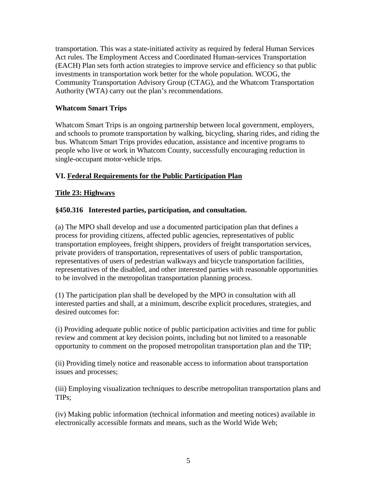transportation. This was a state-initiated activity as required by federal Human Services Act rules. The Employment Access and Coordinated Human-services Transportation (EACH) Plan sets forth action strategies to improve service and efficiency so that public investments in transportation work better for the whole population. WCOG, the Community Transportation Advisory Group (CTAG), and the Whatcom Transportation Authority (WTA) carry out the plan's recommendations.

# **Whatcom Smart Trips**

Whatcom Smart Trips is an ongoing partnership between local government, employers, and schools to promote transportation by walking, bicycling, sharing rides, and riding the bus. Whatcom Smart Trips provides education, assistance and incentive programs to people who live or work in Whatcom County, successfully encouraging reduction in single-occupant motor-vehicle trips.

# **VI. Federal Requirements for the Public Participation Plan**

# **Title 23: Highways**

# **§450.316 Interested parties, participation, and consultation.**

(a) The MPO shall develop and use a documented participation plan that defines a process for providing citizens, affected public agencies, representatives of public transportation employees, freight shippers, providers of freight transportation services, private providers of transportation, representatives of users of public transportation, representatives of users of pedestrian walkways and bicycle transportation facilities, representatives of the disabled, and other interested parties with reasonable opportunities to be involved in the metropolitan transportation planning process.

(1) The participation plan shall be developed by the MPO in consultation with all interested parties and shall, at a minimum, describe explicit procedures, strategies, and desired outcomes for:

(i) Providing adequate public notice of public participation activities and time for public review and comment at key decision points, including but not limited to a reasonable opportunity to comment on the proposed metropolitan transportation plan and the TIP;

(ii) Providing timely notice and reasonable access to information about transportation issues and processes;

(iii) Employing visualization techniques to describe metropolitan transportation plans and TIPs;

(iv) Making public information (technical information and meeting notices) available in electronically accessible formats and means, such as the World Wide Web;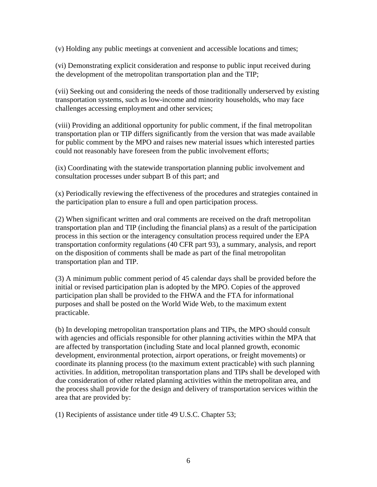(v) Holding any public meetings at convenient and accessible locations and times;

(vi) Demonstrating explicit consideration and response to public input received during the development of the metropolitan transportation plan and the TIP;

(vii) Seeking out and considering the needs of those traditionally underserved by existing transportation systems, such as low-income and minority households, who may face challenges accessing employment and other services;

(viii) Providing an additional opportunity for public comment, if the final metropolitan transportation plan or TIP differs significantly from the version that was made available for public comment by the MPO and raises new material issues which interested parties could not reasonably have foreseen from the public involvement efforts;

(ix) Coordinating with the statewide transportation planning public involvement and consultation processes under subpart B of this part; and

(x) Periodically reviewing the effectiveness of the procedures and strategies contained in the participation plan to ensure a full and open participation process.

(2) When significant written and oral comments are received on the draft metropolitan transportation plan and TIP (including the financial plans) as a result of the participation process in this section or the interagency consultation process required under the EPA transportation conformity regulations (40 CFR part 93), a summary, analysis, and report on the disposition of comments shall be made as part of the final metropolitan transportation plan and TIP.

(3) A minimum public comment period of 45 calendar days shall be provided before the initial or revised participation plan is adopted by the MPO. Copies of the approved participation plan shall be provided to the FHWA and the FTA for informational purposes and shall be posted on the World Wide Web, to the maximum extent practicable.

(b) In developing metropolitan transportation plans and TIPs, the MPO should consult with agencies and officials responsible for other planning activities within the MPA that are affected by transportation (including State and local planned growth, economic development, environmental protection, airport operations, or freight movements) or coordinate its planning process (to the maximum extent practicable) with such planning activities. In addition, metropolitan transportation plans and TIPs shall be developed with due consideration of other related planning activities within the metropolitan area, and the process shall provide for the design and delivery of transportation services within the area that are provided by:

(1) Recipients of assistance under title 49 U.S.C. Chapter 53;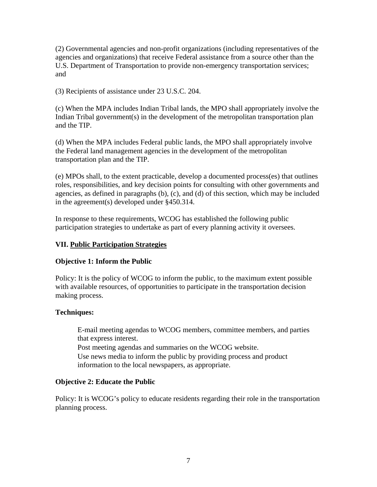(2) Governmental agencies and non-profit organizations (including representatives of the agencies and organizations) that receive Federal assistance from a source other than the U.S. Department of Transportation to provide non-emergency transportation services; and

(3) Recipients of assistance under 23 U.S.C. 204.

(c) When the MPA includes Indian Tribal lands, the MPO shall appropriately involve the Indian Tribal government(s) in the development of the metropolitan transportation plan and the TIP.

(d) When the MPA includes Federal public lands, the MPO shall appropriately involve the Federal land management agencies in the development of the metropolitan transportation plan and the TIP.

(e) MPOs shall, to the extent practicable, develop a documented process(es) that outlines roles, responsibilities, and key decision points for consulting with other governments and agencies, as defined in paragraphs (b), (c), and (d) of this section, which may be included in the agreement(s) developed under §450.314.

In response to these requirements, WCOG has established the following public participation strategies to undertake as part of every planning activity it oversees.

#### **VII. Public Participation Strategies**

#### **Objective 1: Inform the Public**

Policy: It is the policy of WCOG to inform the public, to the maximum extent possible with available resources, of opportunities to participate in the transportation decision making process.

#### **Techniques:**

E-mail meeting agendas to WCOG members, committee members, and parties that express interest. Post meeting agendas and summaries on the WCOG website. Use news media to inform the public by providing process and product information to the local newspapers, as appropriate.

#### **Objective 2: Educate the Public**

Policy: It is WCOG's policy to educate residents regarding their role in the transportation planning process.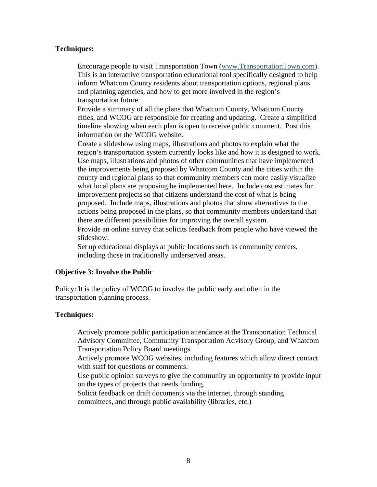#### **Techniques:**

Encourage people to visit Transportation Town [\(www.TransportationTown.com](http://www.transportationtown.com/)). This is an interactive transportation educational tool specifically designed to help inform Whatcom County residents about transportation options, regional plans and planning agencies, and how to get more involved in the region's transportation future.

Provide a summary of all the plans that Whatcom County, Whatcom County cities, and WCOG are responsible for creating and updating. Create a simplified timeline showing when each plan is open to receive public comment. Post this information on the WCOG website.

Create a slideshow using maps, illustrations and photos to explain what the region's transportation system currently looks like and how it is designed to work. Use maps, illustrations and photos of other communities that have implemented the improvements being proposed by Whatcom County and the cities within the county and regional plans so that community members can more easily visualize what local plans are proposing be implemented here. Include cost estimates for improvement projects so that citizens understand the cost of what is being proposed. Include maps, illustrations and photos that show alternatives to the actions being proposed in the plans, so that community members understand that there are different possibilities for improving the overall system.

Provide an online survey that solicits feedback from people who have viewed the slideshow.

Set up educational displays at public locations such as community centers, including those in traditionally underserved areas.

#### **Objective 3: Involve the Public**

Policy: It is the policy of WCOG to involve the public early and often in the transportation planning process.

#### **Techniques:**

Actively promote public participation attendance at the Transportation Technical Advisory Committee, Community Transportation Advisory Group, and Whatcom Transportation Policy Board meetings.

Actively promote WCOG websites, including features which allow direct contact with staff for questions or comments.

Use public opinion surveys to give the community an opportunity to provide input on the types of projects that needs funding.

Solicit feedback on draft documents via the internet, through standing committees, and through public availability (libraries, etc.)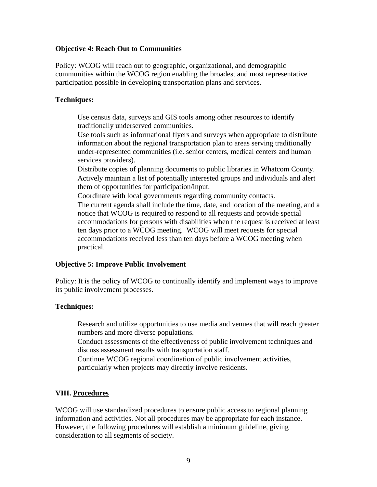#### **Objective 4: Reach Out to Communities**

Policy: WCOG will reach out to geographic, organizational, and demographic communities within the WCOG region enabling the broadest and most representative participation possible in developing transportation plans and services.

#### **Techniques:**

Use census data, surveys and GIS tools among other resources to identify traditionally underserved communities.

Use tools such as informational flyers and surveys when appropriate to distribute information about the regional transportation plan to areas serving traditionally under-represented communities (i.e. senior centers, medical centers and human services providers).

Distribute copies of planning documents to public libraries in Whatcom County. Actively maintain a list of potentially interested groups and individuals and alert them of opportunities for participation/input.

Coordinate with local governments regarding community contacts. The current agenda shall include the time, date, and location of the meeting, and a notice that WCOG is required to respond to all requests and provide special accommodations for persons with disabilities when the request is received at least ten days prior to a WCOG meeting. WCOG will meet requests for special accommodations received less than ten days before a WCOG meeting when practical.

#### **Objective 5: Improve Public Involvement**

Policy: It is the policy of WCOG to continually identify and implement ways to improve its public involvement processes.

#### **Techniques:**

Research and utilize opportunities to use media and venues that will reach greater numbers and more diverse populations.

Conduct assessments of the effectiveness of public involvement techniques and discuss assessment results with transportation staff.

Continue WCOG regional coordination of public involvement activities, particularly when projects may directly involve residents.

#### **VIII. Procedures**

WCOG will use standardized procedures to ensure public access to regional planning information and activities. Not all procedures may be appropriate for each instance. However, the following procedures will establish a minimum guideline, giving consideration to all segments of society.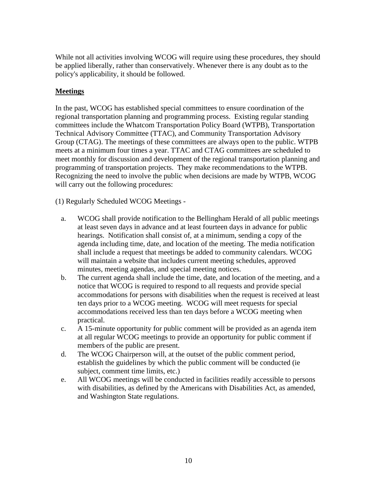While not all activities involving WCOG will require using these procedures, they should be applied liberally, rather than conservatively. Whenever there is any doubt as to the policy's applicability, it should be followed.

# **Meetings**

In the past, WCOG has established special committees to ensure coordination of the regional transportation planning and programming process. Existing regular standing committees include the Whatcom Transportation Policy Board (WTPB), Transportation Technical Advisory Committee (TTAC), and Community Transportation Advisory Group (CTAG). The meetings of these committees are always open to the public. WTPB meets at a minimum four times a year. TTAC and CTAG committees are scheduled to meet monthly for discussion and development of the regional transportation planning and programming of transportation projects. They make recommendations to the WTPB. Recognizing the need to involve the public when decisions are made by WTPB, WCOG will carry out the following procedures:

(1) Regularly Scheduled WCOG Meetings -

- a. WCOG shall provide notification to the Bellingham Herald of all public meetings at least seven days in advance and at least fourteen days in advance for public hearings. Notification shall consist of, at a minimum, sending a copy of the agenda including time, date, and location of the meeting. The media notification shall include a request that meetings be added to community calendars. WCOG will maintain a website that includes current meeting schedules, approved minutes, meeting agendas, and special meeting notices.
- b. The current agenda shall include the time, date, and location of the meeting, and a notice that WCOG is required to respond to all requests and provide special accommodations for persons with disabilities when the request is received at least ten days prior to a WCOG meeting. WCOG will meet requests for special accommodations received less than ten days before a WCOG meeting when practical.
- c. A 15-minute opportunity for public comment will be provided as an agenda item at all regular WCOG meetings to provide an opportunity for public comment if members of the public are present.
- d. The WCOG Chairperson will, at the outset of the public comment period, establish the guidelines by which the public comment will be conducted (ie subject, comment time limits, etc.)
- e. All WCOG meetings will be conducted in facilities readily accessible to persons with disabilities, as defined by the Americans with Disabilities Act, as amended, and Washington State regulations.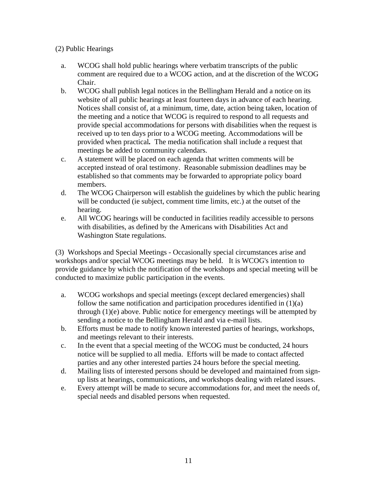# (2) Public Hearings

- a. WCOG shall hold public hearings where verbatim transcripts of the public comment are required due to a WCOG action, and at the discretion of the WCOG Chair.
- b. WCOG shall publish legal notices in the Bellingham Herald and a notice on its website of all public hearings at least fourteen days in advance of each hearing. Notices shall consist of, at a minimum, time, date, action being taken, location of the meeting and a notice that WCOG is required to respond to all requests and provide special accommodations for persons with disabilities when the request is received up to ten days prior to a WCOG meeting. Accommodations will be provided when practical*.* The media notification shall include a request that meetings be added to community calendars.
- c. A statement will be placed on each agenda that written comments will be accepted instead of oral testimony. Reasonable submission deadlines may be established so that comments may be forwarded to appropriate policy board members.
- d. The WCOG Chairperson will establish the guidelines by which the public hearing will be conducted (ie subject, comment time limits, etc.) at the outset of the hearing.
- e. All WCOG hearings will be conducted in facilities readily accessible to persons with disabilities, as defined by the Americans with Disabilities Act and Washington State regulations.

(3) Workshops and Special Meetings - Occasionally special circumstances arise and workshops and/or special WCOG meetings may be held. It is WCOG's intention to provide guidance by which the notification of the workshops and special meeting will be conducted to maximize public participation in the events.

- a. WCOG workshops and special meetings (except declared emergencies) shall follow the same notification and participation procedures identified in (1)(a) through (1)(e) above. Public notice for emergency meetings will be attempted by sending a notice to the Bellingham Herald and via e-mail lists.
- b. Efforts must be made to notify known interested parties of hearings, workshops, and meetings relevant to their interests.
- c. In the event that a special meeting of the WCOG must be conducted, 24 hours notice will be supplied to all media. Efforts will be made to contact affected parties and any other interested parties 24 hours before the special meeting.
- d. Mailing lists of interested persons should be developed and maintained from signup lists at hearings, communications, and workshops dealing with related issues.
- e. Every attempt will be made to secure accommodations for, and meet the needs of, special needs and disabled persons when requested.